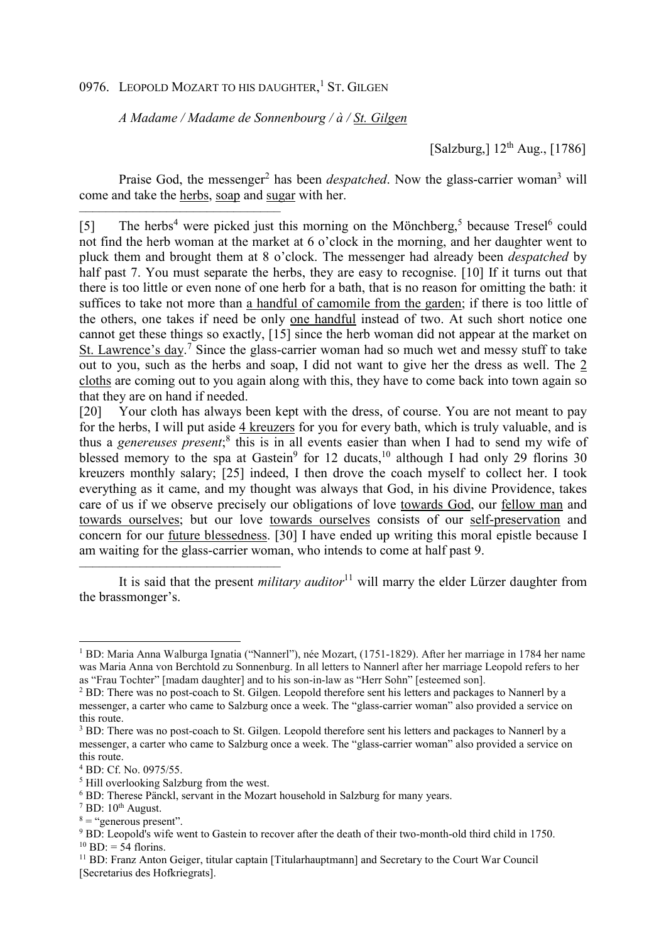## 0976. LEOPOLD MOZART TO HIS DAUGHTER,<sup>1</sup> ST. GILGEN

*A Madame / Madame de Sonnenbourg / à / St. Gilgen*

[Salzburg,]  $12^{th}$  Aug., [1786]

Praise God, the messenger<sup>2</sup> has been *despatched*. Now the glass-carrier woman<sup>3</sup> will come and take the herbs, soap and sugar with her.

–––––––––––––––––––––––––––––– [5] The herbs<sup>4</sup> were picked just this morning on the Mönchberg,<sup>5</sup> because Tresel<sup>6</sup> could not find the herb woman at the market at 6 o'clock in the morning, and her daughter went to pluck them and brought them at 8 o'clock. The messenger had already been *despatched* by half past 7. You must separate the herbs, they are easy to recognise. [10] If it turns out that there is too little or even none of one herb for a bath, that is no reason for omitting the bath: it suffices to take not more than a handful of camomile from the garden; if there is too little of the others, one takes if need be only one handful instead of two. At such short notice one cannot get these things so exactly, [15] since the herb woman did not appear at the market on St. Lawrence's day.<sup>7</sup> Since the glass-carrier woman had so much wet and messy stuff to take out to you, such as the herbs and soap, I did not want to give her the dress as well. The 2 cloths are coming out to you again along with this, they have to come back into town again so that they are on hand if needed.

[20] Your cloth has always been kept with the dress, of course. You are not meant to pay for the herbs, I will put aside 4 kreuzers for you for every bath, which is truly valuable, and is thus a *genereuses present*; 8 this is in all events easier than when I had to send my wife of blessed memory to the spa at Gastein<sup>9</sup> for 12 ducats,<sup>10</sup> although I had only 29 florins 30 kreuzers monthly salary; [25] indeed, I then drove the coach myself to collect her. I took everything as it came, and my thought was always that God, in his divine Providence, takes care of us if we observe precisely our obligations of love towards God, our fellow man and towards ourselves; but our love towards ourselves consists of our self-preservation and concern for our future blessedness. [30] I have ended up writing this moral epistle because I am waiting for the glass-carrier woman, who intends to come at half past 9.

It is said that the present *military auditor*<sup>11</sup> will marry the elder Lürzer daughter from the brassmonger's.

––––––––––––––––––––––––––––––

l

<sup>1</sup> BD: Maria Anna Walburga Ignatia ("Nannerl"), née Mozart, (1751-1829). After her marriage in 1784 her name was Maria Anna von Berchtold zu Sonnenburg. In all letters to Nannerl after her marriage Leopold refers to her as "Frau Tochter" [madam daughter] and to his son-in-law as "Herr Sohn" [esteemed son].

<sup>&</sup>lt;sup>2</sup> BD: There was no post-coach to St. Gilgen. Leopold therefore sent his letters and packages to Nannerl by a messenger, a carter who came to Salzburg once a week. The "glass-carrier woman" also provided a service on this route.

<sup>&</sup>lt;sup>3</sup> BD: There was no post-coach to St. Gilgen. Leopold therefore sent his letters and packages to Nannerl by a messenger, a carter who came to Salzburg once a week. The "glass-carrier woman" also provided a service on this route.

<sup>4</sup> BD: Cf. No. 0975/55.

<sup>5</sup> Hill overlooking Salzburg from the west.

<sup>6</sup> BD: Therese Pänckl, servant in the Mozart household in Salzburg for many years.

 $7$  BD:  $10<sup>th</sup>$  August.

 $8 =$  "generous present".

<sup>&</sup>lt;sup>9</sup> BD: Leopold's wife went to Gastein to recover after the death of their two-month-old third child in 1750.  $^{10}$  BD: = 54 florins.

<sup>&</sup>lt;sup>11</sup> BD: Franz Anton Geiger, titular captain [Titularhauptmann] and Secretary to the Court War Council [Secretarius des Hofkriegrats].